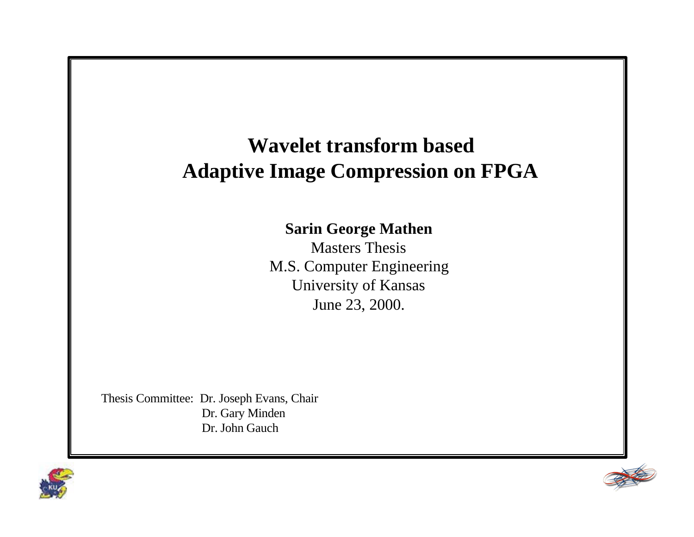# **Wavelet transform based Adaptive Image Compression on FPGA**

#### **Sarin George Mathen**

Masters Thesis M.S. Computer Engineering University of Kansas June 23, 2000.

Thesis Committee: Dr. Joseph Evans, Chair Dr. Gary Minden Dr. John Gauch



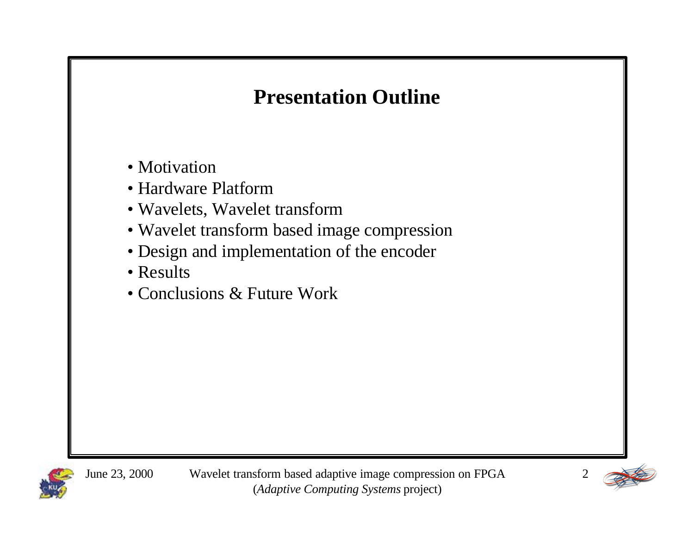# **Presentation Outline**

- Motivation
- Hardware Platform
- Wavelets, Wavelet transform
- Wavelet transform based image compression
- Design and implementation of the encoder
- Results
- Conclusions & Future Work



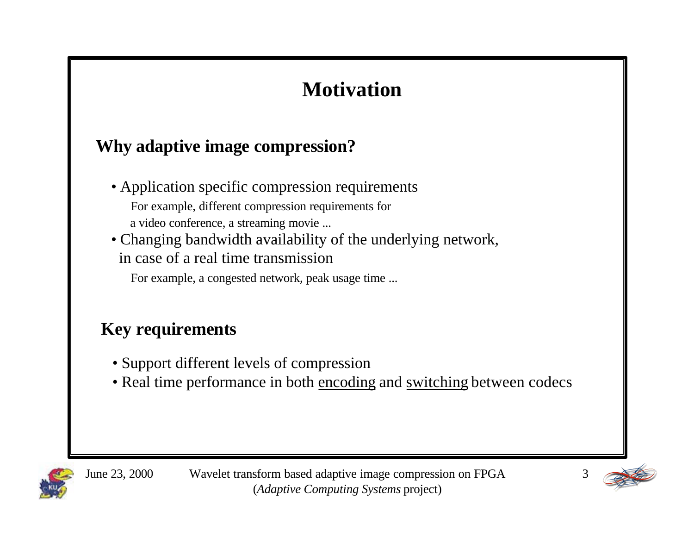# **Motivation**

### **Why adaptive image compression?**

- Application specific compression requirements For example, different compression requirements for a video conference, a streaming movie ...
- Changing bandwidth availability of the underlying network, in case of a real time transmission

For example, a congested network, peak usage time ...

### **Key requirements**

- Support different levels of compression
- Real time performance in both encoding and switching between codecs



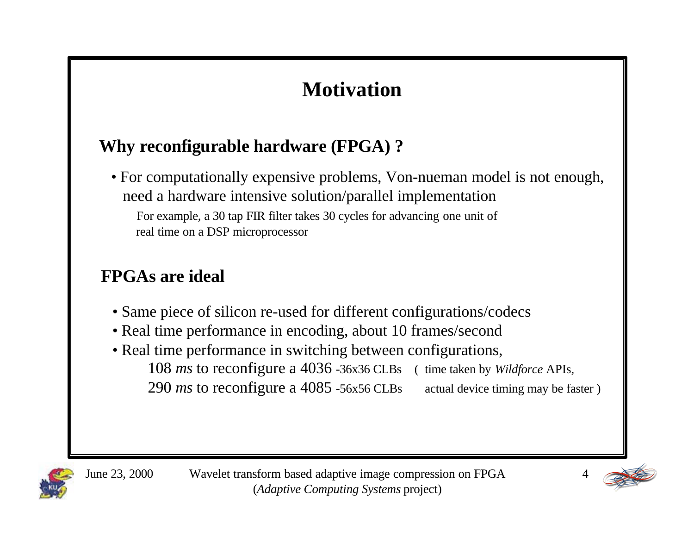# **Motivation**

### **Why reconfigurable hardware (FPGA) ?**

• For computationally expensive problems, Von-nueman model is not enough, need a hardware intensive solution/parallel implementation For example, a 30 tap FIR filter takes 30 cycles for advancing one unit of real time on a DSP microprocessor

### **FPGAs are ideal**

- Same piece of silicon re-used for different configurations/codecs
- Real time performance in encoding, about 10 frames/second
- Real time performance in switching between configurations, 108 *ms* to reconfigure a 4036 -36x36 CLBs ( time taken by *Wildforce* APIs, 290 *ms* to reconfigure a 4085 -56x56 CLBs actual device timing may be faster )



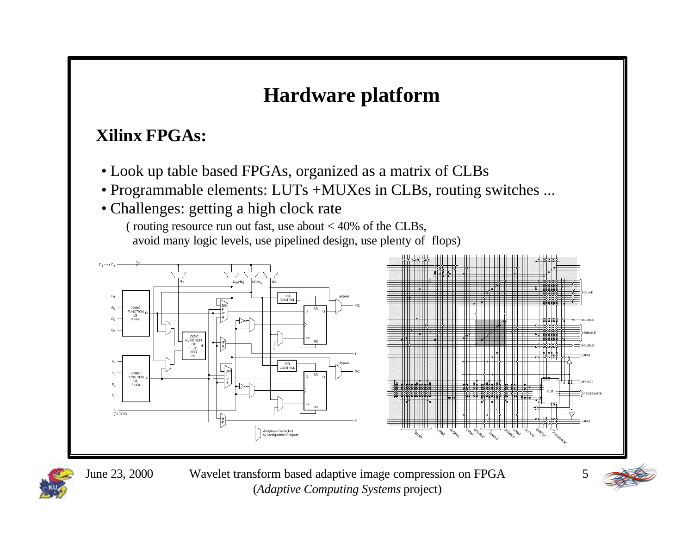# **Hardware platform**

### **Xilinx FPGAs:**

- Look up table based FPGAs, organized as a matrix of CLBs
- Programmable elements: LUTs +MUXes in CLBs, routing switches ...
- Challenges: getting a high clock rate

( routing resource run out fast, use about  $< 40\%$  of the CLBs, avoid many logic levels, use pipelined design, use plenty of flops)





June 23, 2000 Wavelet transform based adaptive image compression on FPGA (*Adaptive Computing Systems* project)

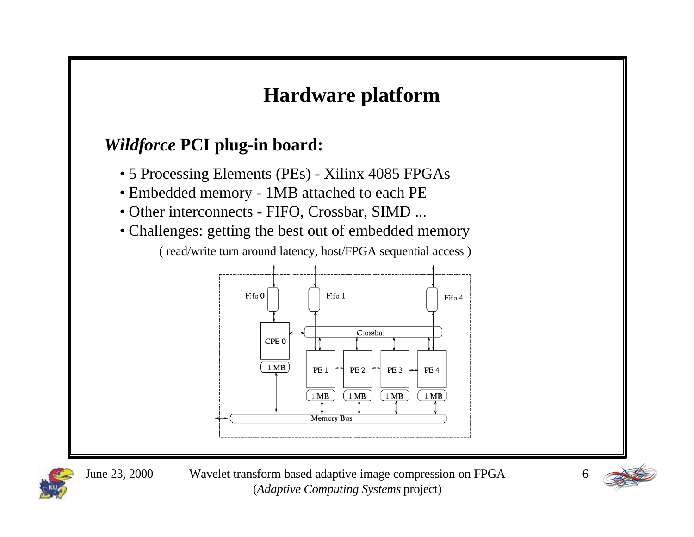# **Hardware platform**

### *Wildforce* **PCI plug-in board:**

- 5 Processing Elements (PEs) Xilinx 4085 FPGAs
- Embedded memory 1MB attached to each PE
- Other interconnects FIFO, Crossbar, SIMD ...
- Challenges: getting the best out of embedded memory ( read/write turn around latency, host/FPGA sequential access )





June 23, 2000 Wavelet transform based adaptive image compression on FPGA (*Adaptive Computing Systems* project)

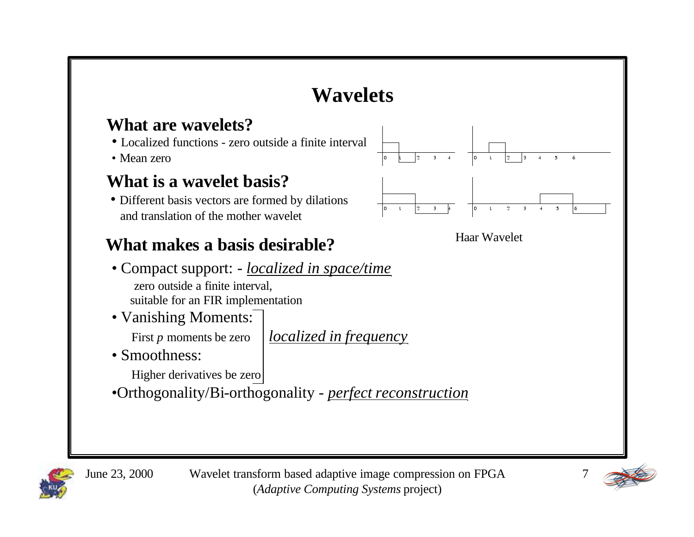

#### **What are wavelets?**

- Localized functions zero outside a finite interval
- Mean zero

#### **What is a wavelet basis?**

• Different basis vectors are formed by dilations and translation of the mother wavelet

# **What makes a basis desirable?** Haar Wavelet

- Compact support: *localized in space/time* zero outside a finite interval, suitable for an FIR implementation
- Vanishing Moments:

First *p* moments be zero *localized in frequency* 

• Smoothness:

Higher derivatives be zero

•Orthogonality/Bi-orthogonality - *perfect reconstruction*





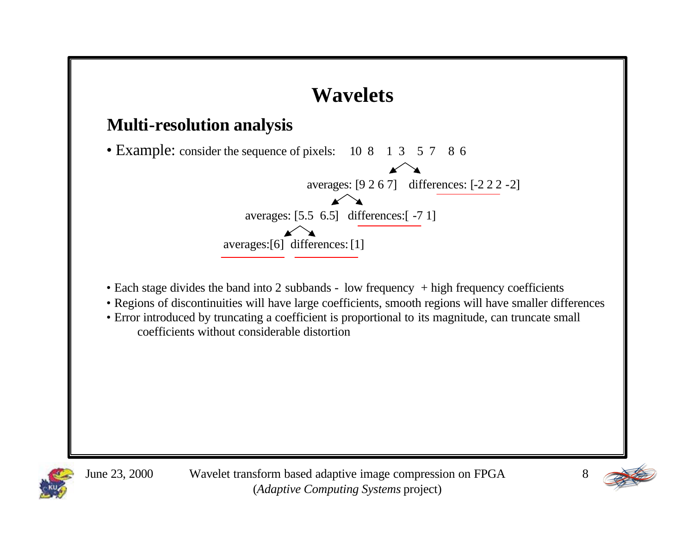



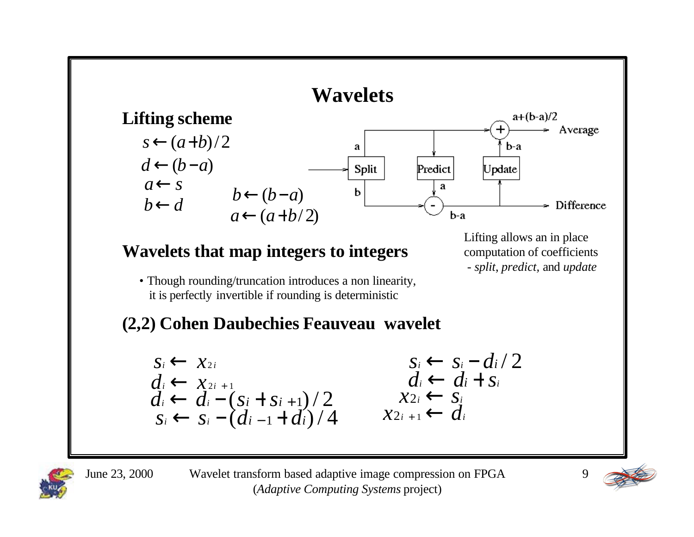

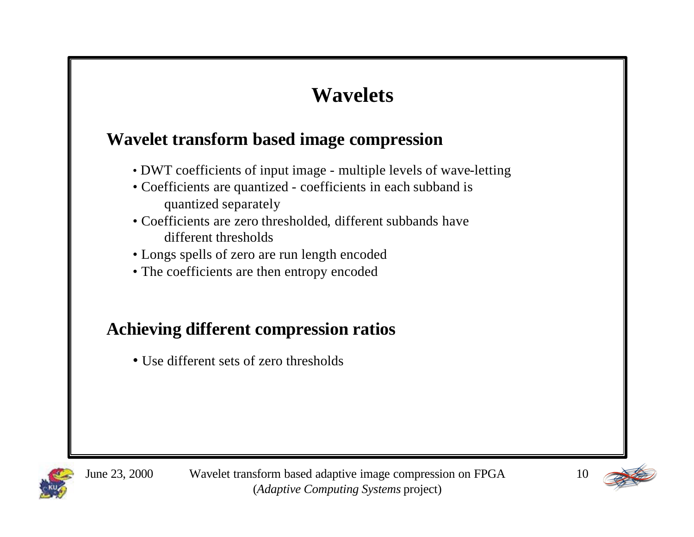# **Wavelets**

#### **Wavelet transform based image compression**

- DWT coefficients of input image multiple levels of wave-letting
- Coefficients are quantized coefficients in each subband is quantized separately
- Coefficients are zero thresholded, different subbands have different thresholds
- Longs spells of zero are run length encoded
- The coefficients are then entropy encoded

### **Achieving different compression ratios**

• Use different sets of zero thresholds



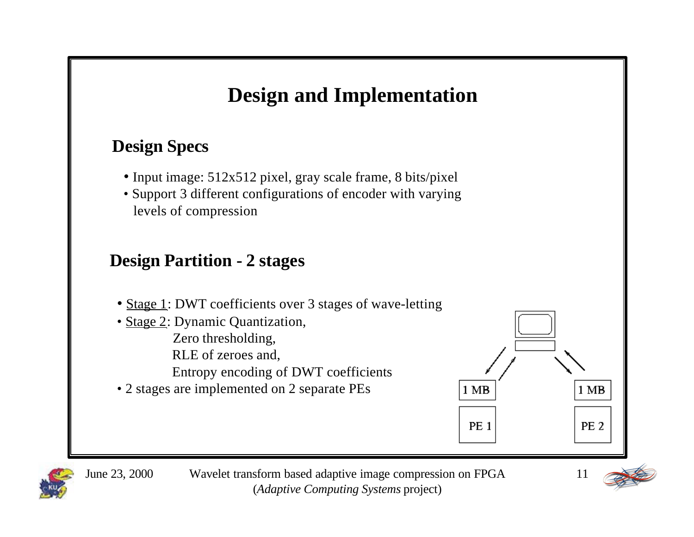### **Design Specs**

- Input image: 512x512 pixel, gray scale frame, 8 bits/pixel
- Support 3 different configurations of encoder with varying levels of compression

### **Design Partition - 2 stages**

- Stage 1: DWT coefficients over 3 stages of wave-letting
- Stage 2: Dynamic Quantization, Zero thresholding, RLE of zeroes and,
	- Entropy encoding of DWT coefficients
- 2 stages are implemented on 2 separate PEs





June 23, 2000 Wavelet transform based adaptive image compression on FPGA (*Adaptive Computing Systems* project)

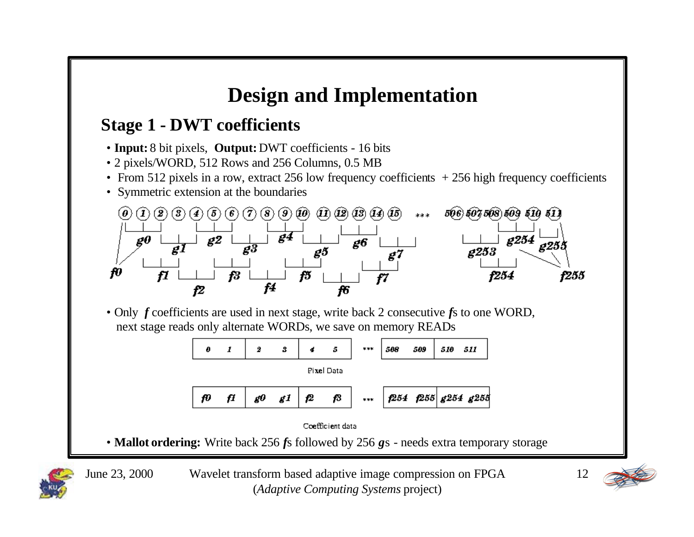### **Stage 1 - DWT coefficients**

- **Input:** 8 bit pixels, **Output:** DWT coefficients 16 bits
- 2 pixels/WORD, 512 Rows and 256 Columns, 0.5 MB
- From 512 pixels in a row, extract 256 low frequency coefficients  $+256$  high frequency coefficients
- Symmetric extension at the boundaries



• Only *f* coefficients are used in next stage, write back 2 consecutive *f*s to one WORD, next stage reads only alternate WORDs, we save on memory READs





• **Mallot ordering:** Write back 256 *f*s followed by 256 *g*s - needs extra temporary storage



June 23, 2000 Wavelet transform based adaptive image compression on FPGA (*Adaptive Computing Systems* project)

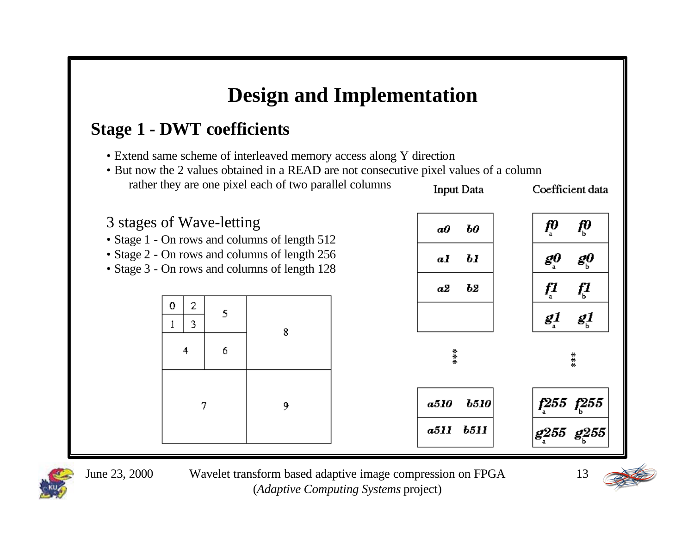### **Stage 1 - DWT coefficients**

- Extend same scheme of interleaved memory access along Y direction
- But now the 2 values obtained in a READ are not consecutive pixel values of a column rather they are one pixel each of two parallel columns Input Data Coefficient data

# 3 stages of Wave-letting

- Stage 1 On rows and columns of length 512
- Stage 2 On rows and columns of length 256
- Stage 3 On rows and columns of length 128







June 23, 2000 Wavelet transform based adaptive image compression on FPGA (*Adaptive Computing Systems* project)

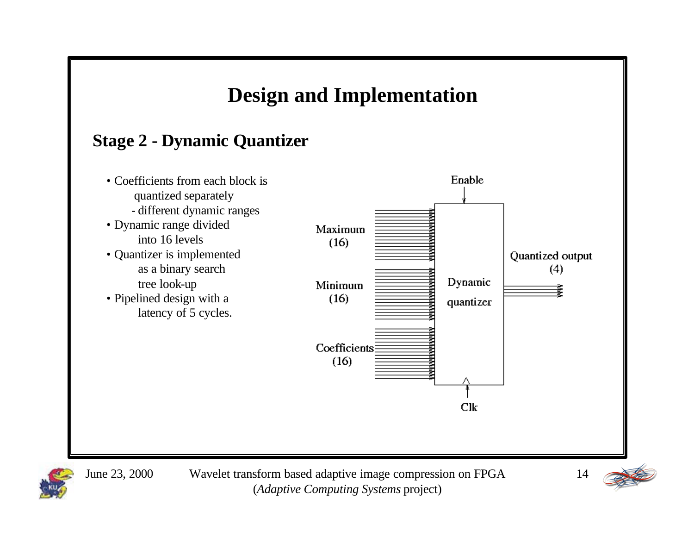



June 23, 2000 Wavelet transform based adaptive image compression on FPGA (*Adaptive Computing Systems* project)

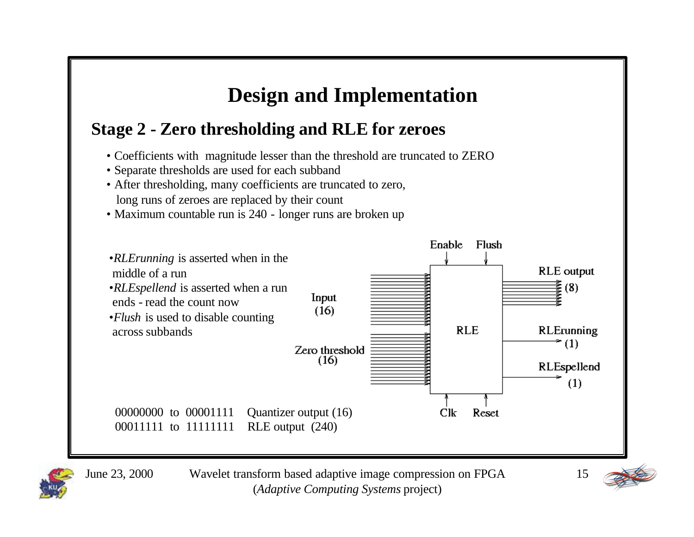### **Stage 2 - Zero thresholding and RLE for zeroes**

- Coefficients with magnitude lesser than the threshold are truncated to ZERO
- Separate thresholds are used for each subband
- After thresholding, many coefficients are truncated to zero, long runs of zeroes are replaced by their count
- Maximum countable run is 240 longer runs are broken up





June 23, 2000 Wavelet transform based adaptive image compression on FPGA (*Adaptive Computing Systems* project)

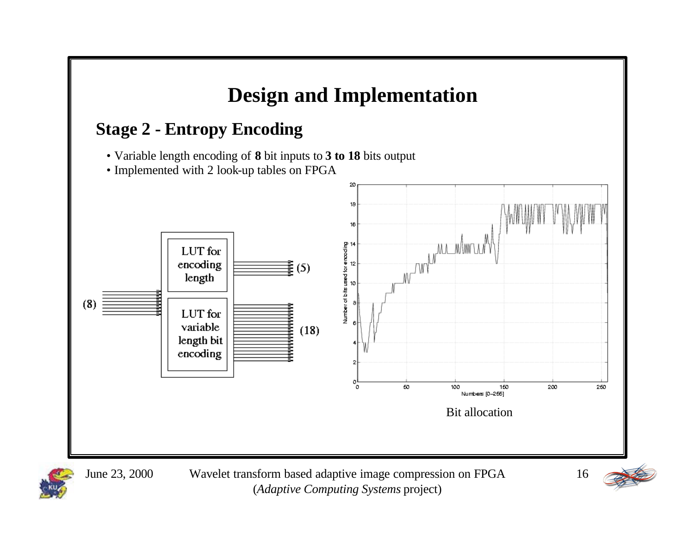

(*Adaptive Computing Systems* project)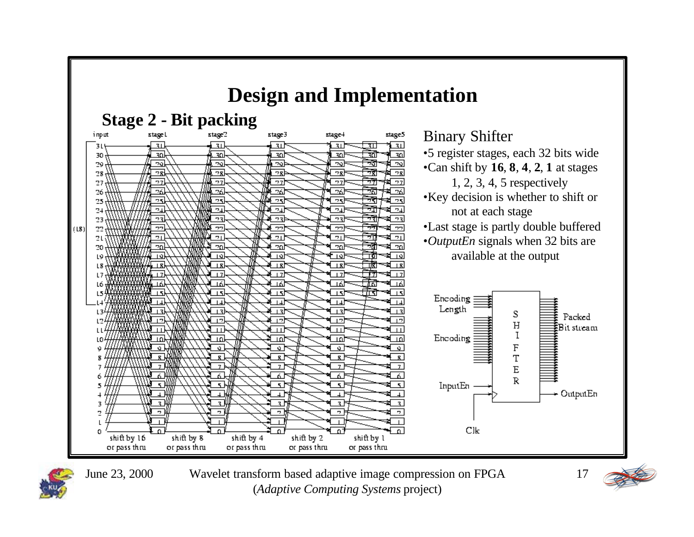



June 23, 2000 Wavelet transform based adaptive image compression on FPGA (*Adaptive Computing Systems* project)

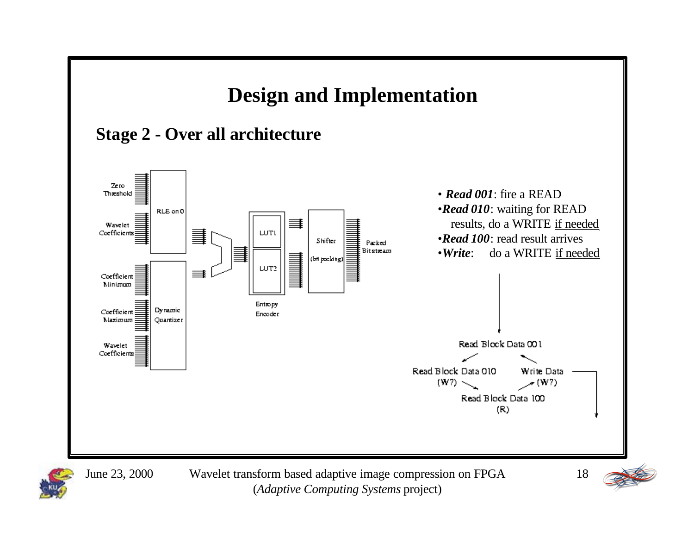



(*Adaptive Computing Systems* project)

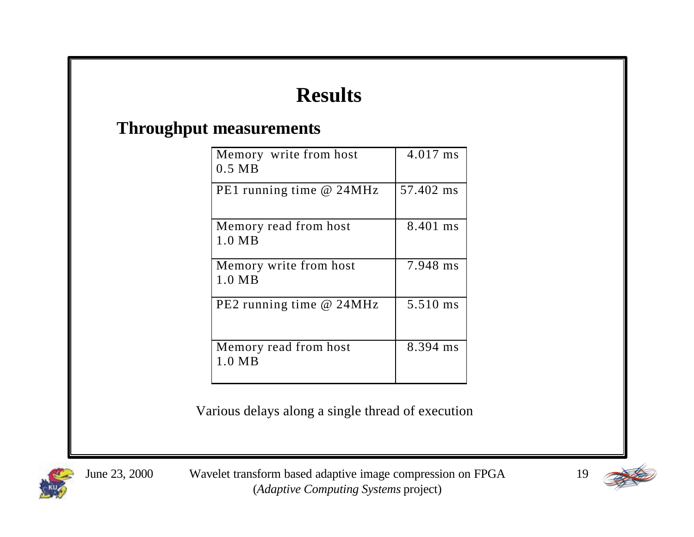#### **Throughput measurements**

| Memory write from host<br>$0.5$ MB | 4.017 ms  |
|------------------------------------|-----------|
| PE1 running time @ 24MHz           | 57.402 ms |
| Memory read from host<br>1.0 MB    | 8.401 ms  |
| Memory write from host<br>1.0 MB   | 7.948 ms  |
| PE2 running time @ 24MHz           | 5.510 ms  |
| Memory read from host<br>1.0 MB    | 8.394 ms  |

Various delays along a single thread of execution



June 23, 2000 Wavelet transform based adaptive image compression on FPGA (*Adaptive Computing Systems* project)

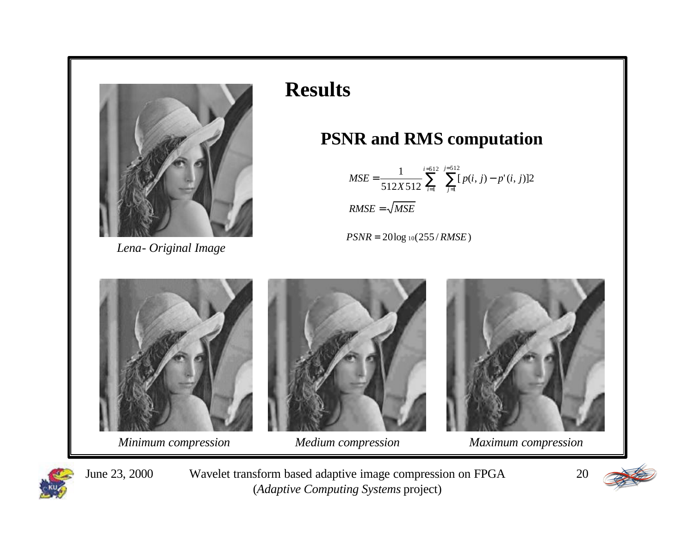

*Lena- Original Image*

### **PSNR and RMS computation**

$$
MSE = \frac{1}{512X512} \sum_{i=1}^{i=512} \sum_{j=1}^{j=512} [p(i, j) - p'(i, j)]2
$$
  
RMSE =  $\sqrt{MSE}$ 

*PSNR* = 20log <sup>10</sup>(255 / *RMSE*)



June 23, 2000 Wavelet transform based adaptive image compression on FPGA (*Adaptive Computing Systems* project)

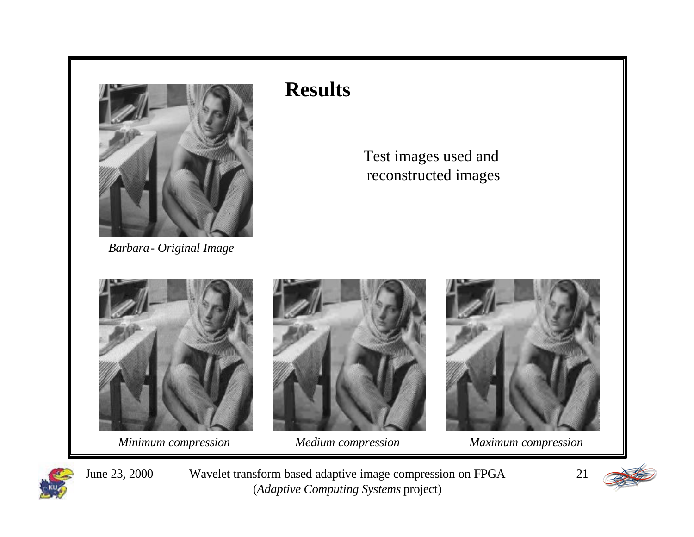

*Barbara- Original Image*

#### Test images used and reconstructed images



*Minimum compression Medium compression Maximum compression*







June 23, 2000 Wavelet transform based adaptive image compression on FPGA (*Adaptive Computing Systems* project)

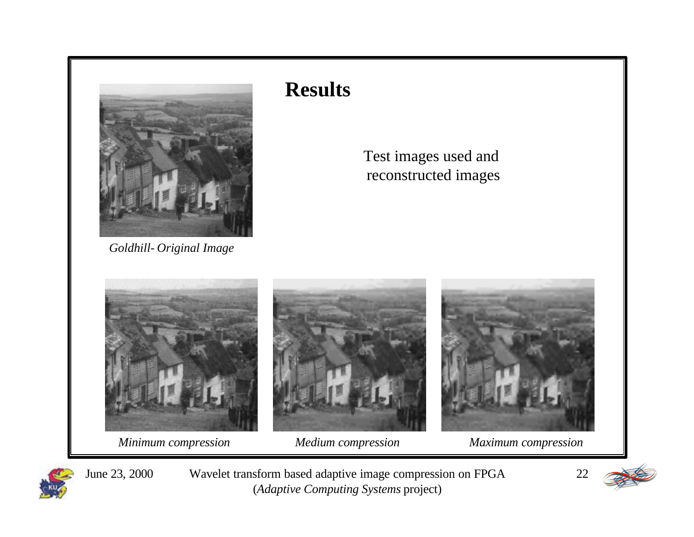

*Goldhill- Original Image*

#### Test images used and reconstructed images



*Minimum compression Medium compression Maximum compression*



June 23, 2000 Wavelet transform based adaptive image compression on FPGA (*Adaptive Computing Systems* project)

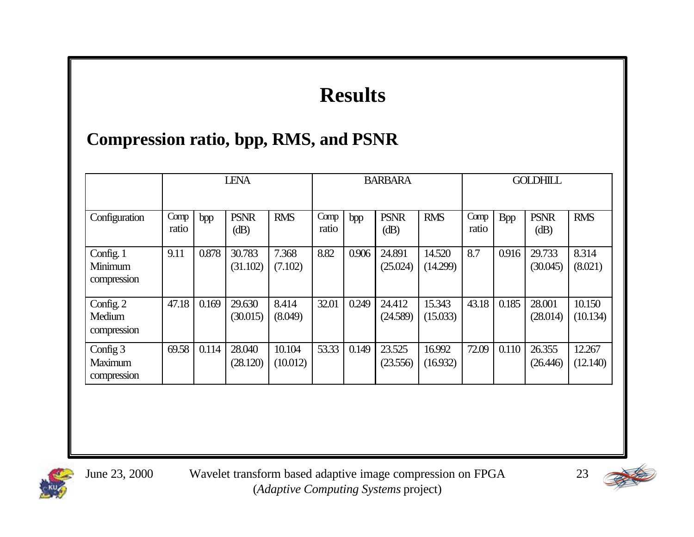### **Compression ratio, bpp, RMS, and PSNR**

|                                     | <b>LENA</b>   |       |                    |                    | <b>BARBARA</b> |       |                    |                    | <b>GOLDHILL</b> |            |                    |                    |
|-------------------------------------|---------------|-------|--------------------|--------------------|----------------|-------|--------------------|--------------------|-----------------|------------|--------------------|--------------------|
| Configuration                       | Comp<br>ratio | bpp   | <b>PSNR</b><br>dB) | <b>RMS</b>         | Comp<br>ratio  | bpp   | <b>PSNR</b><br>dB) | <b>RMS</b>         | Comp<br>ratio   | <b>Bpp</b> | <b>PSNR</b><br>dB) | <b>RMS</b>         |
| Config. 1<br>Minimum<br>compression | 9.11          | 0.878 | 30.783<br>(31.102) | 7.368<br>(7.102)   | 8.82           | 0.906 | 24.891<br>(25.024) | 14.520<br>(14.299) | 8.7             | 0.916      | 29.733<br>(30.045) | 8.314<br>(8.021)   |
| Config. 2<br>Medium<br>compression  | 47.18         | 0.169 | 29.630<br>(30.015) | 8.414<br>(8.049)   | 32.01          | 0.249 | 24.412<br>(24.589) | 15.343<br>(15.033) | 43.18           | 0.185      | 28.001<br>(28.014) | 10.150<br>(10.134) |
| Config 3<br>Maximum<br>compression  | 69.58         | 0.114 | 28.040<br>(28.120) | 10.104<br>(10.012) | 53.33          | 0.149 | 23.525<br>(23.556) | 16.992<br>(16.932) | 72.09           | 0.110      | 26.355<br>(26.446) | 12.267<br>(12.140) |



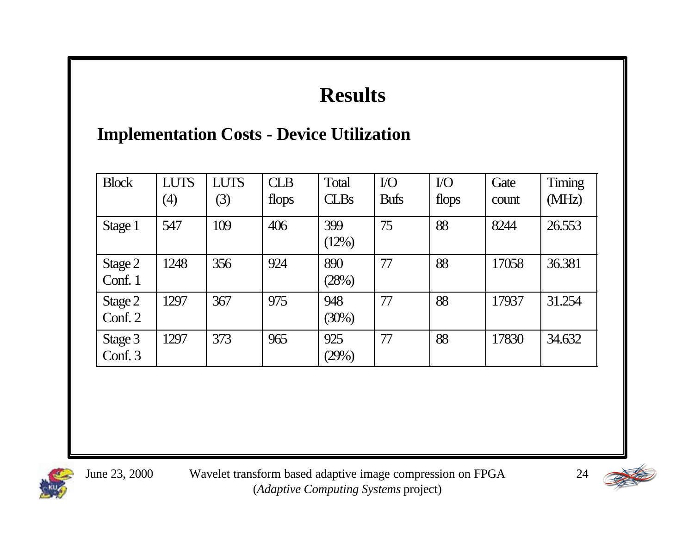### **Implementation Costs - Device Utilization**

| <b>Block</b>       | <b>LUTS</b><br>$\left( 4\right)$ | <b>LUTS</b><br>(3) | <b>CLB</b><br>flops | Total<br><b>CLBs</b> | $\rm{IO}$<br><b>Bufs</b> | $\rm{IO}$<br>flops | Gate<br>count | Timing<br>(MHz) |
|--------------------|----------------------------------|--------------------|---------------------|----------------------|--------------------------|--------------------|---------------|-----------------|
| Stage 1            | 547                              | 109                | 406                 | 399<br>(12%)         | 75                       | 88                 | 8244          | 26.553          |
| Stage 2<br>Conf. 1 | 1248                             | 356                | 924                 | 890<br>(28%)         | 77                       | 88                 | 17058         | 36.381          |
| Stage 2<br>Conf. 2 | 1297                             | 367                | 975                 | 948<br>(30%)         | 77                       | 88                 | 17937         | 31.254          |
| Stage 3<br>Conf. 3 | 1297                             | 373                | 965                 | 925<br>(29%)         | 77                       | 88                 | 17830         | 34.632          |